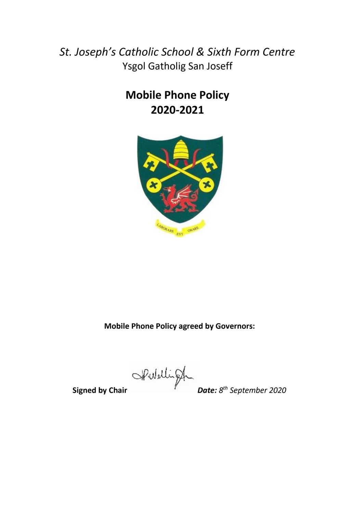*St. Joseph's Catholic School & Sixth Form Centre* Ysgol Gatholig San Joseff

# **Mobile Phone Policy 2020-2021**



**Mobile Phone Policy agreed by Governors:**

**Signed by Chair** *Date: 8*

*th September 2020*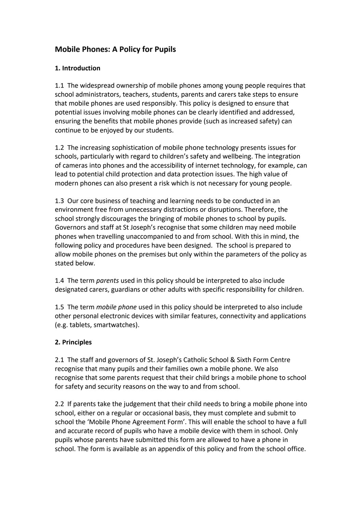### **Mobile Phones: A Policy for Pupils**

#### **1. Introduction**

1.1 The widespread ownership of mobile phones among young people requires that school administrators, teachers, students, parents and carers take steps to ensure that mobile phones are used responsibly. This policy is designed to ensure that potential issues involving mobile phones can be clearly identified and addressed, ensuring the benefits that mobile phones provide (such as increased safety) can continue to be enjoyed by our students.

1.2 The increasing sophistication of mobile phone technology presents issues for schools, particularly with regard to children's safety and wellbeing. The integration of cameras into phones and the accessibility of internet technology, for example, can lead to potential child protection and data protection issues. The high value of modern phones can also present a risk which is not necessary for young people.

1.3 Our core business of teaching and learning needs to be conducted in an environment free from unnecessary distractions or disruptions. Therefore, the school strongly discourages the bringing of mobile phones to school by pupils. Governors and staff at St Joseph's recognise that some children may need mobile phones when travelling unaccompanied to and from school. With this in mind, the following policy and procedures have been designed. The school is prepared to allow mobile phones on the premises but only within the parameters of the policy as stated below.

1.4 The term *parents* used in this policy should be interpreted to also include designated carers, guardians or other adults with specific responsibility for children.

1.5 The term *mobile phone* used in this policy should be interpreted to also include other personal electronic devices with similar features, connectivity and applications (e.g. tablets, smartwatches).

#### **2. Principles**

2.1 The staff and governors of St. Joseph's Catholic School & Sixth Form Centre recognise that many pupils and their families own a mobile phone. We also recognise that some parents request that their child brings a mobile phone to school for safety and security reasons on the way to and from school.

2.2 If parents take the judgement that their child needs to bring a mobile phone into school, either on a regular or occasional basis, they must complete and submit to school the 'Mobile Phone Agreement Form'. This will enable the school to have a full and accurate record of pupils who have a mobile device with them in school. Only pupils whose parents have submitted this form are allowed to have a phone in school. The form is available as an appendix of this policy and from the school office.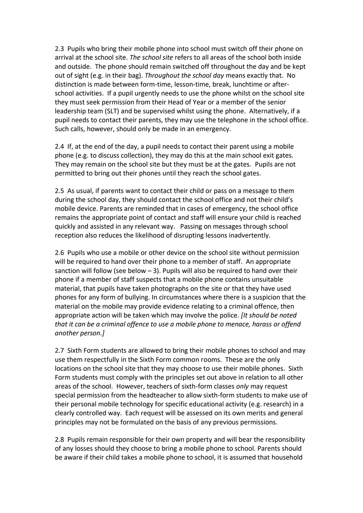2.3 Pupils who bring their mobile phone into school must switch off their phone on arrival at the school site. *The school site* refers to all areas of the school both inside and outside. The phone should remain switched off throughout the day and be kept out of sight (e.g. in their bag). *Throughout the school day* means exactly that. No distinction is made between form-time, lesson-time, break, lunchtime or afterschool activities. If a pupil urgently needs to use the phone whilst on the school site they must seek permission from their Head of Year or a member of the senior leadership team (SLT) and be supervised whilst using the phone. Alternatively, if a pupil needs to contact their parents, they may use the telephone in the school office. Such calls, however, should only be made in an emergency.

2.4 If, at the end of the day, a pupil needs to contact their parent using a mobile phone (e.g. to discuss collection), they may do this at the main school exit gates. They may remain on the school site but they must be at the gates. Pupils are not permitted to bring out their phones until they reach the school gates.

2.5 As usual, if parents want to contact their child or pass on a message to them during the school day, they should contact the school office and not their child's mobile device. Parents are reminded that in cases of emergency, the school office remains the appropriate point of contact and staff will ensure your child is reached quickly and assisted in any relevant way. Passing on messages through school reception also reduces the likelihood of disrupting lessons inadvertently.

2.6 Pupils who use a mobile or other device on the school site without permission will be required to hand over their phone to a member of staff. An appropriate sanction will follow (see below  $-3$ ). Pupils will also be required to hand over their phone if a member of staff suspects that a mobile phone contains unsuitable material, that pupils have taken photographs on the site or that they have used phones for any form of bullying. In circumstances where there is a suspicion that the material on the mobile may provide evidence relating to a criminal offence, then appropriate action will be taken which may involve the police. *[It should be noted that it can be a criminal offence to use a mobile phone to menace, harass or offend another person.]*

2.7 Sixth Form students are allowed to bring their mobile phones to school and may use them respectfully in the Sixth Form common rooms. These are the only locations on the school site that they may choose to use their mobile phones. Sixth Form students must comply with the principles set out above in relation to all other areas of the school. However, teachers of sixth-form classes *only* may request special permission from the headteacher to allow sixth-form students to make use of their personal mobile technology for specific educational activity (e.g. research) in a clearly controlled way. Each request will be assessed on its own merits and general principles may not be formulated on the basis of any previous permissions.

2.8 Pupils remain responsible for their own property and will bear the responsibility of any losses should they choose to bring a mobile phone to school. Parents should be aware if their child takes a mobile phone to school, it is assumed that household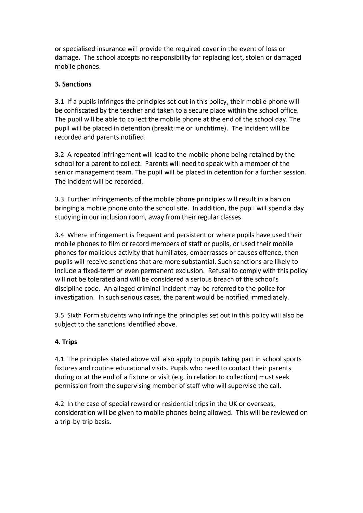or specialised insurance will provide the required cover in the event of loss or damage. The school accepts no responsibility for replacing lost, stolen or damaged mobile phones.

#### **3. Sanctions**

3.1 If a pupils infringes the principles set out in this policy, their mobile phone will be confiscated by the teacher and taken to a secure place within the school office. The pupil will be able to collect the mobile phone at the end of the school day. The pupil will be placed in detention (breaktime or lunchtime). The incident will be recorded and parents notified.

3.2 A repeated infringement will lead to the mobile phone being retained by the school for a parent to collect. Parents will need to speak with a member of the senior management team. The pupil will be placed in detention for a further session. The incident will be recorded.

3.3 Further infringements of the mobile phone principles will result in a ban on bringing a mobile phone onto the school site. In addition, the pupil will spend a day studying in our inclusion room, away from their regular classes.

3.4 Where infringement is frequent and persistent or where pupils have used their mobile phones to film or record members of staff or pupils, or used their mobile phones for malicious activity that humiliates, embarrasses or causes offence, then pupils will receive sanctions that are more substantial. Such sanctions are likely to include a fixed-term or even permanent exclusion. Refusal to comply with this policy will not be tolerated and will be considered a serious breach of the school's discipline code. An alleged criminal incident may be referred to the police for investigation. In such serious cases, the parent would be notified immediately.

3.5 Sixth Form students who infringe the principles set out in this policy will also be subject to the sanctions identified above.

#### **4. Trips**

4.1 The principles stated above will also apply to pupils taking part in school sports fixtures and routine educational visits. Pupils who need to contact their parents during or at the end of a fixture or visit (e.g. in relation to collection) must seek permission from the supervising member of staff who will supervise the call.

4.2 In the case of special reward or residential trips in the UK or overseas, consideration will be given to mobile phones being allowed. This will be reviewed on a trip-by-trip basis.